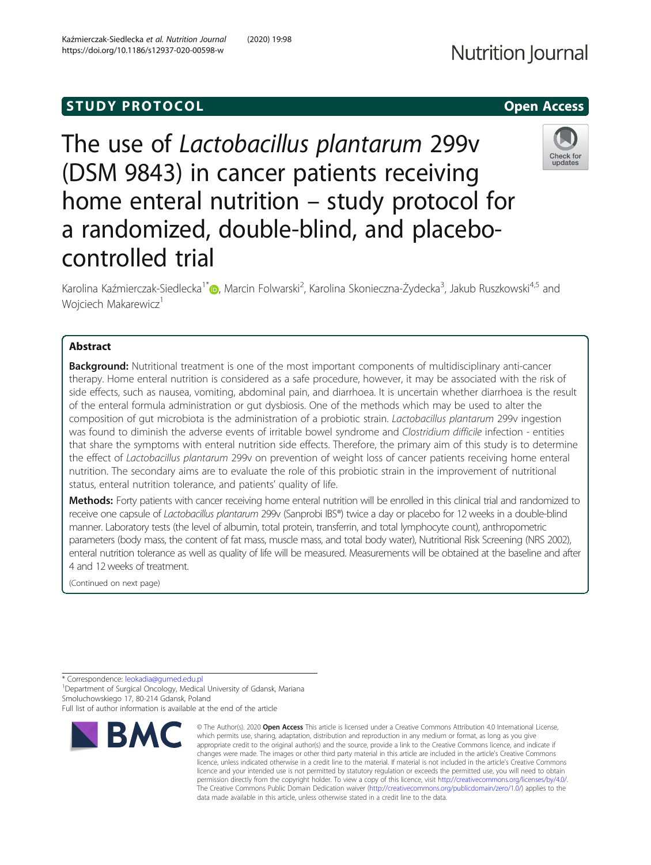# **STUDY PROTOCOL** And the set of the set of the set of the set of the set of the set of the set of the set of the set of the set of the set of the set of the set of the set of the set of the set of the set of the set of the

https://doi.org/10.1186/s12937-020-00598-w

The use of Lactobacillus plantarum 299v (DSM 9843) in cancer patients receiving home enteral nutrition – study protocol for a randomized, double-blind, and placebocontrolled trial

Karolina Kaźmierczak-Siedlecka<sup>1[\\*](http://orcid.org/0000-0002-0283-1436)</sup>. Marcin Folwarski<sup>2</sup>, Karolina Skonieczna-Żydecka<sup>3</sup>, Jakub Ruszkowski<sup>4,5</sup> and Wojciech Makarewicz<sup>1</sup>

# Abstract

**Background:** Nutritional treatment is one of the most important components of multidisciplinary anti-cancer therapy. Home enteral nutrition is considered as a safe procedure, however, it may be associated with the risk of side effects, such as nausea, vomiting, abdominal pain, and diarrhoea. It is uncertain whether diarrhoea is the result of the enteral formula administration or gut dysbiosis. One of the methods which may be used to alter the composition of gut microbiota is the administration of a probiotic strain. Lactobacillus plantarum 299v ingestion was found to diminish the adverse events of irritable bowel syndrome and Clostridium difficile infection - entities that share the symptoms with enteral nutrition side effects. Therefore, the primary aim of this study is to determine the effect of Lactobacillus plantarum 299v on prevention of weight loss of cancer patients receiving home enteral nutrition. The secondary aims are to evaluate the role of this probiotic strain in the improvement of nutritional status, enteral nutrition tolerance, and patients' quality of life.

Methods: Forty patients with cancer receiving home enteral nutrition will be enrolled in this clinical trial and randomized to receive one capsule of Lactobacillus plantarum 299v (Sanprobi IBS®) twice a day or placebo for 12 weeks in a double-blind manner. Laboratory tests (the level of albumin, total protein, transferrin, and total lymphocyte count), anthropometric parameters (body mass, the content of fat mass, muscle mass, and total body water), Nutritional Risk Screening (NRS 2002), enteral nutrition tolerance as well as quality of life will be measured. Measurements will be obtained at the baseline and after 4 and 12 weeks of treatment.

(Continued on next page)

\* Correspondence: [leokadia@gumed.edu.pl](mailto:leokadia@gumed.edu.pl) <sup>1</sup>

<sup>1</sup> Department of Surgical Oncology, Medical University of Gdansk, Mariana Smoluchowskiego 17, 80-214 Gdansk, Poland Full list of author information is available at the end of the article



<sup>©</sup> The Author(s), 2020 **Open Access** This article is licensed under a Creative Commons Attribution 4.0 International License, which permits use, sharing, adaptation, distribution and reproduction in any medium or format, as long as you give appropriate credit to the original author(s) and the source, provide a link to the Creative Commons licence, and indicate if changes were made. The images or other third party material in this article are included in the article's Creative Commons licence, unless indicated otherwise in a credit line to the material. If material is not included in the article's Creative Commons licence and your intended use is not permitted by statutory regulation or exceeds the permitted use, you will need to obtain permission directly from the copyright holder. To view a copy of this licence, visit [http://creativecommons.org/licenses/by/4.0/.](http://creativecommons.org/licenses/by/4.0/) The Creative Commons Public Domain Dedication waiver [\(http://creativecommons.org/publicdomain/zero/1.0/](http://creativecommons.org/publicdomain/zero/1.0/)) applies to the data made available in this article, unless otherwise stated in a credit line to the data.



**Nutrition Journal**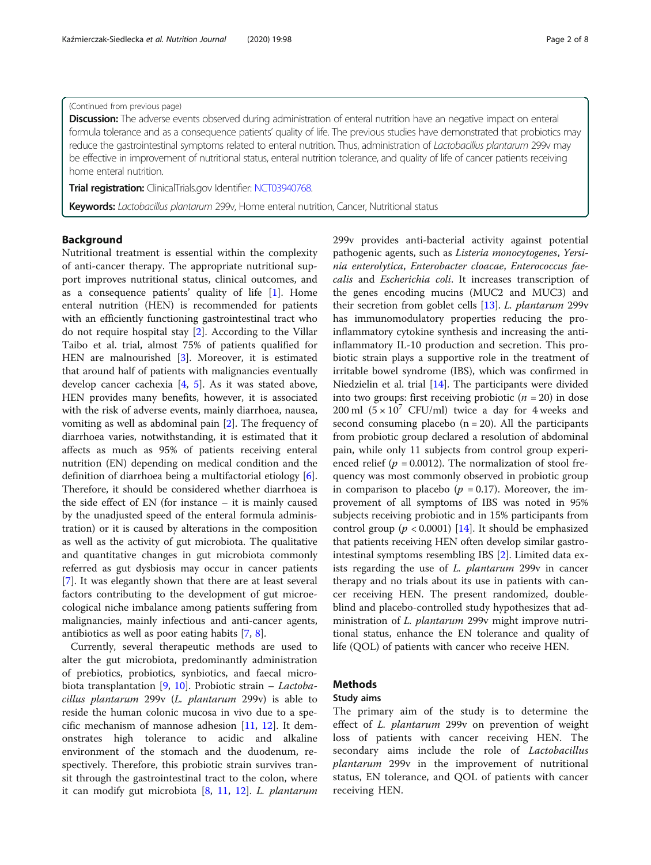## (Continued from previous page)

Discussion: The adverse events observed during administration of enteral nutrition have an negative impact on enteral formula tolerance and as a consequence patients' quality of life. The previous studies have demonstrated that probiotics may reduce the gastrointestinal symptoms related to enteral nutrition. Thus, administration of Lactobacillus plantarum 299v may be effective in improvement of nutritional status, enteral nutrition tolerance, and quality of life of cancer patients receiving home enteral nutrition.

**Trial registration:** ClinicalTrials.gov Identifier: [NCT03940768.](https://clinicaltrials.gov/ct2/show/NCT03940768?cond=lactobacillus+plantarum+299v&draw=2&rank=2)

Keywords: Lactobacillus plantarum 299v, Home enteral nutrition, Cancer, Nutritional status

# Background

Nutritional treatment is essential within the complexity of anti-cancer therapy. The appropriate nutritional support improves nutritional status, clinical outcomes, and as a consequence patients' quality of life  $[1]$  $[1]$ . Home enteral nutrition (HEN) is recommended for patients with an efficiently functioning gastrointestinal tract who do not require hospital stay [\[2](#page-7-0)]. According to the Villar Taibo et al. trial, almost 75% of patients qualified for HEN are malnourished [\[3](#page-7-0)]. Moreover, it is estimated that around half of patients with malignancies eventually develop cancer cachexia [[4,](#page-7-0) [5](#page-7-0)]. As it was stated above, HEN provides many benefits, however, it is associated with the risk of adverse events, mainly diarrhoea, nausea, vomiting as well as abdominal pain [\[2](#page-7-0)]. The frequency of diarrhoea varies, notwithstanding, it is estimated that it affects as much as 95% of patients receiving enteral nutrition (EN) depending on medical condition and the definition of diarrhoea being a multifactorial etiology [\[6](#page-7-0)]. Therefore, it should be considered whether diarrhoea is the side effect of EN (for instance – it is mainly caused by the unadjusted speed of the enteral formula administration) or it is caused by alterations in the composition as well as the activity of gut microbiota. The qualitative and quantitative changes in gut microbiota commonly referred as gut dysbiosis may occur in cancer patients [[7\]](#page-7-0). It was elegantly shown that there are at least several factors contributing to the development of gut microecological niche imbalance among patients suffering from malignancies, mainly infectious and anti-cancer agents, antibiotics as well as poor eating habits [\[7](#page-7-0), [8](#page-7-0)].

Currently, several therapeutic methods are used to alter the gut microbiota, predominantly administration of prebiotics, probiotics, synbiotics, and faecal micro-biota transplantation [[9,](#page-7-0) [10](#page-7-0)]. Probiotic strain – Lactobacillus plantarum 299v (L. plantarum 299v) is able to reside the human colonic mucosa in vivo due to a specific mechanism of mannose adhesion  $[11, 12]$  $[11, 12]$  $[11, 12]$  $[11, 12]$ . It demonstrates high tolerance to acidic and alkaline environment of the stomach and the duodenum, respectively. Therefore, this probiotic strain survives transit through the gastrointestinal tract to the colon, where it can modify gut microbiota [[8](#page-7-0), [11,](#page-7-0) [12](#page-7-0)]. L. plantarum 299v provides anti-bacterial activity against potential pathogenic agents, such as Listeria monocytogenes, Yersinia enterolytica, Enterobacter cloacae, Enterococcus faecalis and Escherichia coli. It increases transcription of the genes encoding mucins (MUC2 and MUC3) and their secretion from goblet cells [[13\]](#page-7-0). L. plantarum 299v has immunomodulatory properties reducing the proinflammatory cytokine synthesis and increasing the antiinflammatory IL-10 production and secretion. This probiotic strain plays a supportive role in the treatment of irritable bowel syndrome (IBS), which was confirmed in Niedzielin et al. trial [\[14](#page-7-0)]. The participants were divided into two groups: first receiving probiotic  $(n = 20)$  in dose 200 ml  $(5 \times 10^7 \text{ CFU/ml})$  twice a day for 4 weeks and second consuming placebo  $(n = 20)$ . All the participants from probiotic group declared a resolution of abdominal pain, while only 11 subjects from control group experienced relief ( $p = 0.0012$ ). The normalization of stool frequency was most commonly observed in probiotic group in comparison to placebo ( $p = 0.17$ ). Moreover, the improvement of all symptoms of IBS was noted in 95% subjects receiving probiotic and in 15% participants from control group ( $p < 0.0001$ ) [[14](#page-7-0)]. It should be emphasized that patients receiving HEN often develop similar gastrointestinal symptoms resembling IBS [[2\]](#page-7-0). Limited data exists regarding the use of L. plantarum 299v in cancer therapy and no trials about its use in patients with cancer receiving HEN. The present randomized, doubleblind and placebo-controlled study hypothesizes that administration of L. plantarum 299v might improve nutritional status, enhance the EN tolerance and quality of life (QOL) of patients with cancer who receive HEN.

## Methods

## Study aims

The primary aim of the study is to determine the effect of L. plantarum 299v on prevention of weight loss of patients with cancer receiving HEN. The secondary aims include the role of *Lactobacillus* plantarum 299v in the improvement of nutritional status, EN tolerance, and QOL of patients with cancer receiving HEN.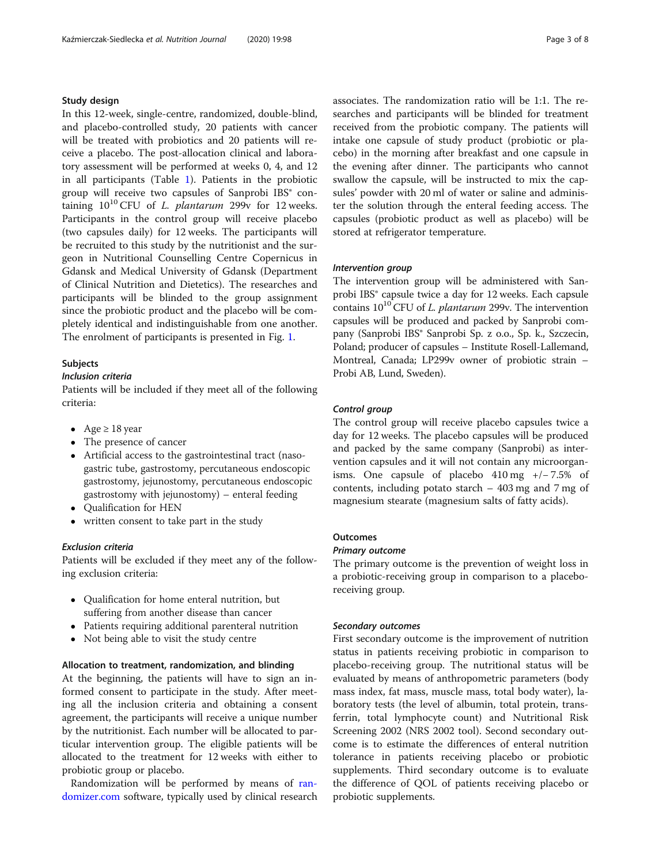## Study design

In this 12-week, single-centre, randomized, double-blind, and placebo-controlled study, 20 patients with cancer will be treated with probiotics and 20 patients will receive a placebo. The post-allocation clinical and laboratory assessment will be performed at weeks 0, 4, and 12 in all participants (Table [1](#page-3-0)). Patients in the probiotic group will receive two capsules of Sanprobi IBS® containing  $10^{10}$  CFU of *L. plantarum* 299v for 12 weeks. Participants in the control group will receive placebo (two capsules daily) for 12 weeks. The participants will be recruited to this study by the nutritionist and the surgeon in Nutritional Counselling Centre Copernicus in Gdansk and Medical University of Gdansk (Department of Clinical Nutrition and Dietetics). The researches and participants will be blinded to the group assignment since the probiotic product and the placebo will be completely identical and indistinguishable from one another. The enrolment of participants is presented in Fig. [1](#page-4-0).

### Subjects

#### Inclusion criteria

Patients will be included if they meet all of the following criteria:

- Age  $\geq 18$  year
- The presence of cancer
- Artificial access to the gastrointestinal tract (nasogastric tube, gastrostomy, percutaneous endoscopic gastrostomy, jejunostomy, percutaneous endoscopic gastrostomy with jejunostomy) – enteral feeding
- Qualification for HEN
- written consent to take part in the study

## Exclusion criteria

Patients will be excluded if they meet any of the following exclusion criteria:

- Oualification for home enteral nutrition, but suffering from another disease than cancer
- Patients requiring additional parenteral nutrition
- Not being able to visit the study centre

#### Allocation to treatment, randomization, and blinding

At the beginning, the patients will have to sign an informed consent to participate in the study. After meeting all the inclusion criteria and obtaining a consent agreement, the participants will receive a unique number by the nutritionist. Each number will be allocated to particular intervention group. The eligible patients will be allocated to the treatment for 12 weeks with either to probiotic group or placebo.

Randomization will be performed by means of [ran](http://randomizer.com)[domizer.com](http://randomizer.com) software, typically used by clinical research associates. The randomization ratio will be 1:1. The researches and participants will be blinded for treatment received from the probiotic company. The patients will intake one capsule of study product (probiotic or placebo) in the morning after breakfast and one capsule in the evening after dinner. The participants who cannot swallow the capsule, will be instructed to mix the capsules' powder with 20 ml of water or saline and administer the solution through the enteral feeding access. The capsules (probiotic product as well as placebo) will be stored at refrigerator temperature.

## Intervention group

The intervention group will be administered with Sanprobi IBS<sup>®</sup> capsule twice a day for 12 weeks. Each capsule contains  $10^{10}$  CFU of *L. plantarum* 299v. The intervention capsules will be produced and packed by Sanprobi company (Sanprobi IBS® Sanprobi Sp. z o.o., Sp. k., Szczecin, Poland; producer of capsules – Institute Rosell-Lallemand, Montreal, Canada; LP299v owner of probiotic strain – Probi AB, Lund, Sweden).

## Control group

The control group will receive placebo capsules twice a day for 12 weeks. The placebo capsules will be produced and packed by the same company (Sanprobi) as intervention capsules and it will not contain any microorganisms. One capsule of placebo 410 mg +/− 7.5% of contents, including potato starch – 403 mg and 7 mg of magnesium stearate (magnesium salts of fatty acids).

# **Outcomes**

## Primary outcome

The primary outcome is the prevention of weight loss in a probiotic-receiving group in comparison to a placeboreceiving group.

# Secondary outcomes

First secondary outcome is the improvement of nutrition status in patients receiving probiotic in comparison to placebo-receiving group. The nutritional status will be evaluated by means of anthropometric parameters (body mass index, fat mass, muscle mass, total body water), laboratory tests (the level of albumin, total protein, transferrin, total lymphocyte count) and Nutritional Risk Screening 2002 (NRS 2002 tool). Second secondary outcome is to estimate the differences of enteral nutrition tolerance in patients receiving placebo or probiotic supplements. Third secondary outcome is to evaluate the difference of QOL of patients receiving placebo or probiotic supplements.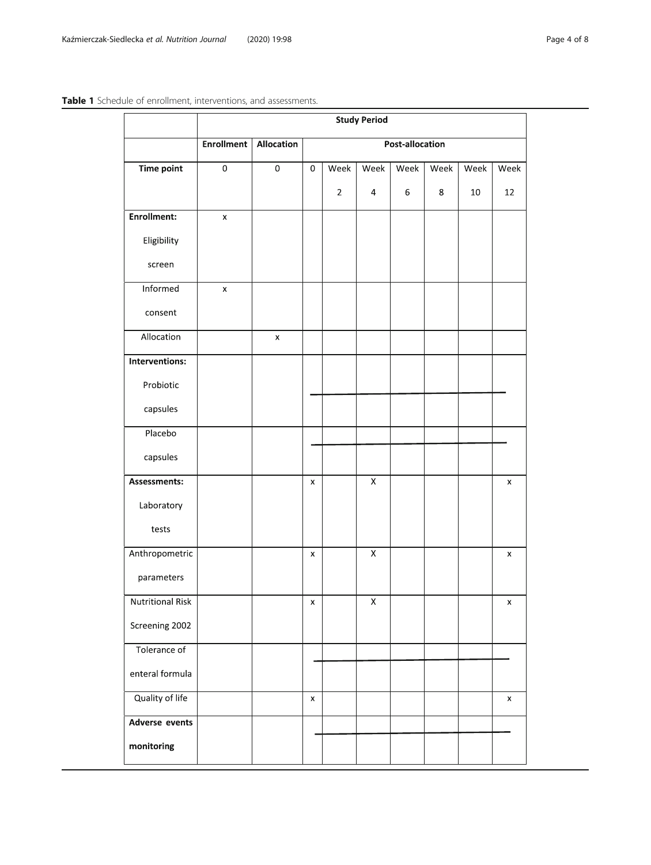# <span id="page-3-0"></span>Table 1 Schedule of enrollment, interventions, and assessments.

|                         | <b>Study Period</b> |                |                 |             |                         |      |      |      |                |
|-------------------------|---------------------|----------------|-----------------|-------------|-------------------------|------|------|------|----------------|
|                         | <b>Enrollment</b>   | Allocation     | Post-allocation |             |                         |      |      |      |                |
| <b>Time point</b>       | $\mathbf 0$         | $\mathbf 0$    | 0               | Week        | Week                    | Week | Week | Week | Week           |
|                         |                     |                |                 | $\mathbf 2$ | $\overline{\mathbf{4}}$ | 6    | 8    | 10   | 12             |
| <b>Enrollment:</b>      | $\pmb{\times}$      |                |                 |             |                         |      |      |      |                |
| Eligibility             |                     |                |                 |             |                         |      |      |      |                |
| screen                  |                     |                |                 |             |                         |      |      |      |                |
| Informed                | x                   |                |                 |             |                         |      |      |      |                |
| consent                 |                     |                |                 |             |                         |      |      |      |                |
| Allocation              |                     | $\pmb{\times}$ |                 |             |                         |      |      |      |                |
| Interventions:          |                     |                |                 |             |                         |      |      |      |                |
| Probiotic               |                     |                |                 |             |                         |      |      |      |                |
| capsules                |                     |                |                 |             |                         |      |      |      |                |
| Placebo                 |                     |                |                 |             |                         |      |      |      |                |
| capsules                |                     |                |                 |             |                         |      |      |      |                |
| Assessments:            |                     |                | x               |             | $\mathsf X$             |      |      |      | x              |
| Laboratory              |                     |                |                 |             |                         |      |      |      |                |
| tests                   |                     |                |                 |             |                         |      |      |      |                |
| Anthropometric          |                     |                | x               |             | $\mathsf X$             |      |      |      | x              |
| parameters              |                     |                |                 |             |                         |      |      |      |                |
| <b>Nutritional Risk</b> |                     |                | x               |             | X                       |      |      |      | х              |
| Screening 2002          |                     |                |                 |             |                         |      |      |      |                |
| Tolerance of            |                     |                |                 |             |                         |      |      |      |                |
| enteral formula         |                     |                |                 |             |                         |      |      |      |                |
| Quality of life         |                     |                | x               |             |                         |      |      |      | $\pmb{\times}$ |
| <b>Adverse events</b>   |                     |                |                 |             |                         |      |      |      |                |
| monitoring              |                     |                |                 |             |                         |      |      |      |                |
|                         |                     |                |                 |             |                         |      |      |      |                |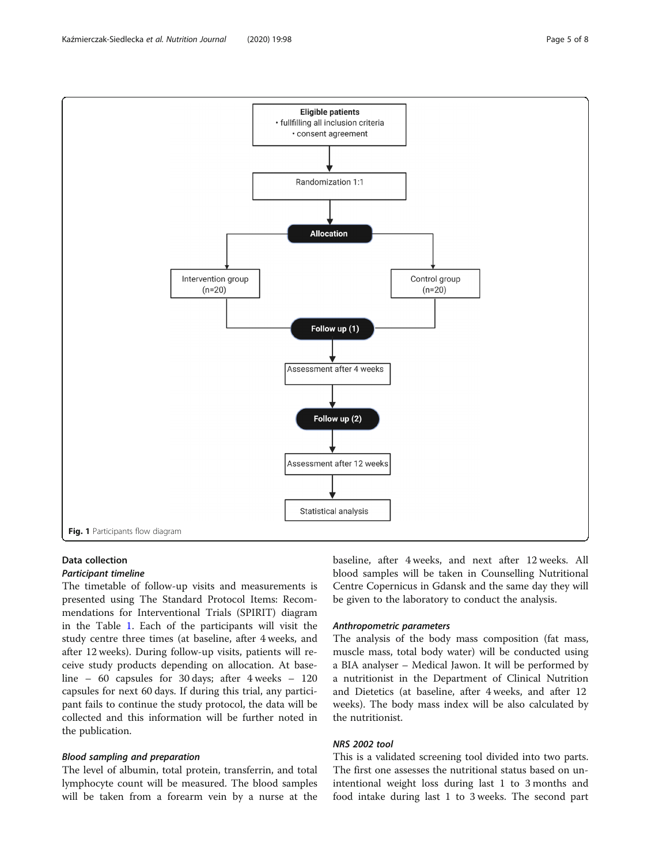# Data collection

# Participant timeline

The timetable of follow-up visits and measurements is presented using The Standard Protocol Items: Recommendations for Interventional Trials (SPIRIT) diagram in the Table [1.](#page-3-0) Each of the participants will visit the study centre three times (at baseline, after 4 weeks, and after 12 weeks). During follow-up visits, patients will receive study products depending on allocation. At baseline – 60 capsules for 30 days; after 4 weeks – 120 capsules for next 60 days. If during this trial, any participant fails to continue the study protocol, the data will be collected and this information will be further noted in the publication.

# Blood sampling and preparation

The level of albumin, total protein, transferrin, and total lymphocyte count will be measured. The blood samples will be taken from a forearm vein by a nurse at the baseline, after 4 weeks, and next after 12 weeks. All blood samples will be taken in Counselling Nutritional Centre Copernicus in Gdansk and the same day they will be given to the laboratory to conduct the analysis.

# Anthropometric parameters

The analysis of the body mass composition (fat mass, muscle mass, total body water) will be conducted using a BIA analyser – Medical Jawon. It will be performed by a nutritionist in the Department of Clinical Nutrition and Dietetics (at baseline, after 4 weeks, and after 12 weeks). The body mass index will be also calculated by the nutritionist.

# NRS 2002 tool

This is a validated screening tool divided into two parts. The first one assesses the nutritional status based on unintentional weight loss during last 1 to 3 months and food intake during last 1 to 3 weeks. The second part

<span id="page-4-0"></span>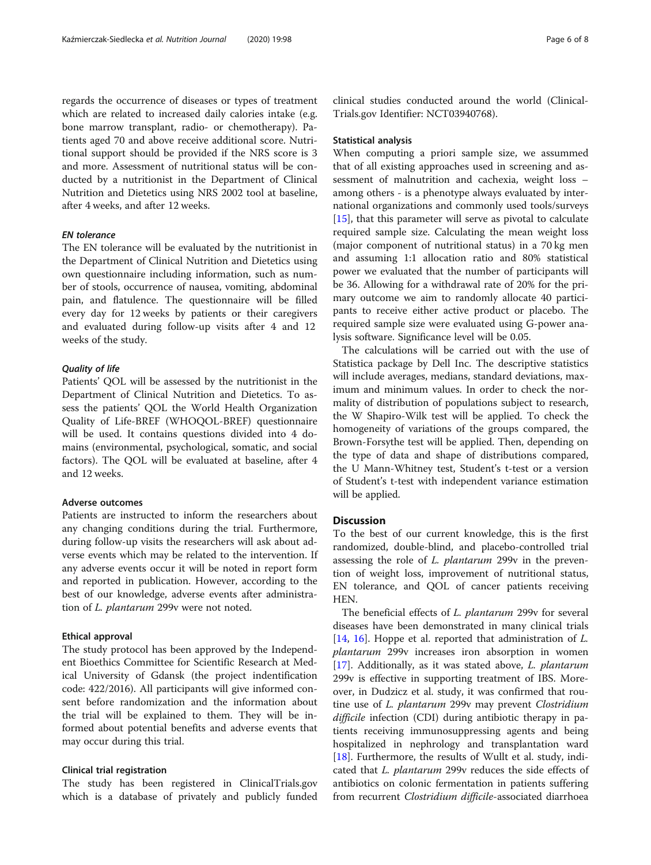regards the occurrence of diseases or types of treatment which are related to increased daily calories intake (e.g. bone marrow transplant, radio- or chemotherapy). Patients aged 70 and above receive additional score. Nutritional support should be provided if the NRS score is 3 and more. Assessment of nutritional status will be conducted by a nutritionist in the Department of Clinical Nutrition and Dietetics using NRS 2002 tool at baseline, after 4 weeks, and after 12 weeks.

# EN tolerance

The EN tolerance will be evaluated by the nutritionist in the Department of Clinical Nutrition and Dietetics using own questionnaire including information, such as number of stools, occurrence of nausea, vomiting, abdominal pain, and flatulence. The questionnaire will be filled every day for 12 weeks by patients or their caregivers and evaluated during follow-up visits after 4 and 12 weeks of the study.

### Quality of life

Patients' QOL will be assessed by the nutritionist in the Department of Clinical Nutrition and Dietetics. To assess the patients' QOL the World Health Organization Quality of Life-BREF (WHOQOL-BREF) questionnaire will be used. It contains questions divided into 4 domains (environmental, psychological, somatic, and social factors). The QOL will be evaluated at baseline, after 4 and 12 weeks.

# Adverse outcomes

Patients are instructed to inform the researchers about any changing conditions during the trial. Furthermore, during follow-up visits the researchers will ask about adverse events which may be related to the intervention. If any adverse events occur it will be noted in report form and reported in publication. However, according to the best of our knowledge, adverse events after administration of L. plantarum 299v were not noted.

#### Ethical approval

The study protocol has been approved by the Independent Bioethics Committee for Scientific Research at Medical University of Gdansk (the project indentification code: 422/2016). All participants will give informed consent before randomization and the information about the trial will be explained to them. They will be informed about potential benefits and adverse events that may occur during this trial.

#### Clinical trial registration

The study has been registered in ClinicalTrials.gov which is a database of privately and publicly funded clinical studies conducted around the world (Clinical-Trials.gov Identifier: NCT03940768).

#### Statistical analysis

When computing a priori sample size, we assummed that of all existing approaches used in screening and assessment of malnutrition and cachexia, weight loss – among others - is a phenotype always evaluated by international organizations and commonly used tools/surveys [[15\]](#page-7-0), that this parameter will serve as pivotal to calculate required sample size. Calculating the mean weight loss (major component of nutritional status) in a 70 kg men and assuming 1:1 allocation ratio and 80% statistical power we evaluated that the number of participants will be 36. Allowing for a withdrawal rate of 20% for the primary outcome we aim to randomly allocate 40 participants to receive either active product or placebo. The required sample size were evaluated using G-power analysis software. Significance level will be 0.05.

The calculations will be carried out with the use of Statistica package by Dell Inc. The descriptive statistics will include averages, medians, standard deviations, maximum and minimum values. In order to check the normality of distribution of populations subject to research, the W Shapiro-Wilk test will be applied. To check the homogeneity of variations of the groups compared, the Brown-Forsythe test will be applied. Then, depending on the type of data and shape of distributions compared, the U Mann-Whitney test, Student's t-test or a version of Student's t-test with independent variance estimation will be applied.

## **Discussion**

To the best of our current knowledge, this is the first randomized, double-blind, and placebo-controlled trial assessing the role of *L. plantarum* 299v in the prevention of weight loss, improvement of nutritional status, EN tolerance, and QOL of cancer patients receiving HEN.

The beneficial effects of *L. plantarum* 299v for several diseases have been demonstrated in many clinical trials [[14,](#page-7-0) [16](#page-7-0)]. Hoppe et al. reported that administration of L. plantarum 299v increases iron absorption in women [[17\]](#page-7-0). Additionally, as it was stated above, L. *plantarum* 299v is effective in supporting treatment of IBS. Moreover, in Dudzicz et al. study, it was confirmed that routine use of L. plantarum 299v may prevent Clostridium difficile infection (CDI) during antibiotic therapy in patients receiving immunosuppressing agents and being hospitalized in nephrology and transplantation ward [[18\]](#page-7-0). Furthermore, the results of Wullt et al. study, indicated that L. plantarum 299v reduces the side effects of antibiotics on colonic fermentation in patients suffering from recurrent Clostridium difficile-associated diarrhoea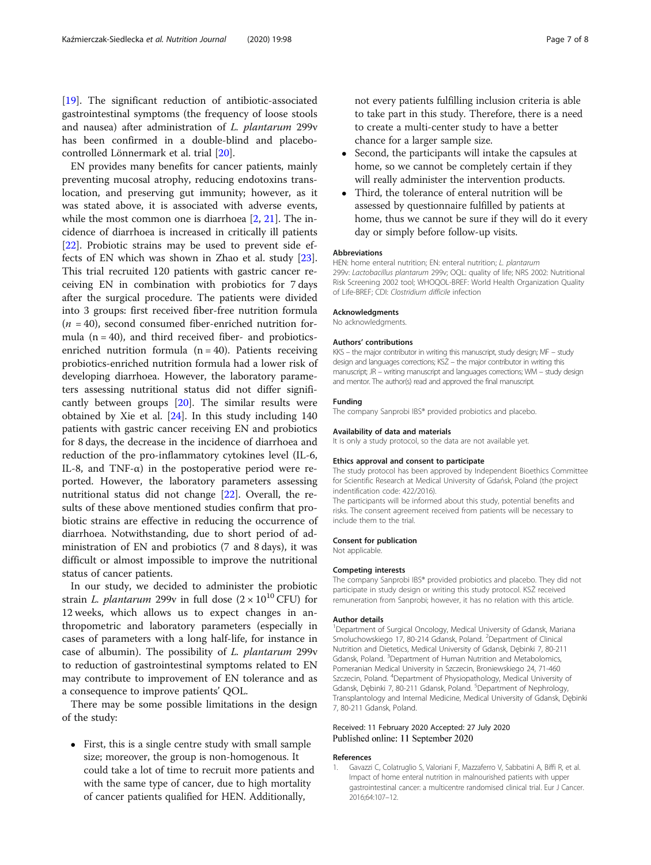<span id="page-6-0"></span>[[19\]](#page-7-0). The significant reduction of antibiotic-associated gastrointestinal symptoms (the frequency of loose stools and nausea) after administration of L. plantarum 299v has been confirmed in a double-blind and placebocontrolled Lönnermark et al. trial [[20\]](#page-7-0).

EN provides many benefits for cancer patients, mainly preventing mucosal atrophy, reducing endotoxins translocation, and preserving gut immunity; however, as it was stated above, it is associated with adverse events, while the most common one is diarrhoea [[2,](#page-7-0) [21\]](#page-7-0). The incidence of diarrhoea is increased in critically ill patients [[22\]](#page-7-0). Probiotic strains may be used to prevent side effects of EN which was shown in Zhao et al. study [\[23](#page-7-0)]. This trial recruited 120 patients with gastric cancer receiving EN in combination with probiotics for 7 days after the surgical procedure. The patients were divided into 3 groups: first received fiber-free nutrition formula  $(n = 40)$ , second consumed fiber-enriched nutrition formula  $(n = 40)$ , and third received fiber- and probioticsenriched nutrition formula  $(n = 40)$ . Patients receiving probiotics-enriched nutrition formula had a lower risk of developing diarrhoea. However, the laboratory parameters assessing nutritional status did not differ significantly between groups  $[20]$  $[20]$ . The similar results were obtained by Xie et al. [\[24\]](#page-7-0). In this study including 140 patients with gastric cancer receiving EN and probiotics for 8 days, the decrease in the incidence of diarrhoea and reduction of the pro-inflammatory cytokines level (IL-6, IL-8, and TNF- $\alpha$ ) in the postoperative period were reported. However, the laboratory parameters assessing nutritional status did not change [\[22\]](#page-7-0). Overall, the results of these above mentioned studies confirm that probiotic strains are effective in reducing the occurrence of diarrhoea. Notwithstanding, due to short period of administration of EN and probiotics (7 and 8 days), it was difficult or almost impossible to improve the nutritional status of cancer patients.

In our study, we decided to administer the probiotic strain L. *plantarum* 299v in full dose  $(2 \times 10^{10} CFU)$  for 12 weeks, which allows us to expect changes in anthropometric and laboratory parameters (especially in cases of parameters with a long half-life, for instance in case of albumin). The possibility of L. plantarum 299v to reduction of gastrointestinal symptoms related to EN may contribute to improvement of EN tolerance and as a consequence to improve patients' QOL.

There may be some possible limitations in the design of the study:

 First, this is a single centre study with small sample size; moreover, the group is non-homogenous. It could take a lot of time to recruit more patients and with the same type of cancer, due to high mortality of cancer patients qualified for HEN. Additionally,

not every patients fulfilling inclusion criteria is able to take part in this study. Therefore, there is a need to create a multi-center study to have a better chance for a larger sample size.

- Second, the participants will intake the capsules at home, so we cannot be completely certain if they will really administer the intervention products.
- Third, the tolerance of enteral nutrition will be assessed by questionnaire fulfilled by patients at home, thus we cannot be sure if they will do it every day or simply before follow-up visits.

#### Abbreviations

HEN: home enteral nutrition; EN: enteral nutrition; L. plantarum 299v: Lactobacillus plantarum 299v; OQL: quality of life; NRS 2002: Nutritional Risk Screening 2002 tool; WHOQOL-BREF: World Health Organization Quality of Life-BREF; CDI: Clostridium difficile infection

#### Acknowledgments

No acknowledgments.

#### Authors' contributions

KKS – the major contributor in writing this manuscript, study design: MF – study design and languages corrections; KSŻ – the major contributor in writing this manuscript; JR – writing manuscript and languages corrections; WM – study design and mentor. The author(s) read and approved the final manuscript.

#### Funding

The company Sanprobi IBS® provided probiotics and placebo.

#### Availability of data and materials

It is only a study protocol, so the data are not available yet.

#### Ethics approval and consent to participate

The study protocol has been approved by Independent Bioethics Committee for Scientific Research at Medical University of Gdańsk, Poland (the project indentification code: 422/2016).

The participants will be informed about this study, potential benefits and risks. The consent agreement received from patients will be necessary to include them to the trial.

#### Consent for publication

Not applicable.

#### Competing interests

The company Sanprobi IBS® provided probiotics and placebo. They did not participate in study design or writing this study protocol. KSŻ received remuneration from Sanprobi; however, it has no relation with this article.

#### Author details

<sup>1</sup>Department of Surgical Oncology, Medical University of Gdansk, Mariana Smoluchowskiego 17, 80-214 Gdansk, Poland. <sup>2</sup>Department of Clinical Nutrition and Dietetics, Medical University of Gdansk, Dębinki 7, 80-211 Gdansk, Poland. <sup>3</sup> Department of Human Nutrition and Metabolomics, Pomeranian Medical University in Szczecin, Broniewskiego 24, 71-460 Szczecin, Poland. <sup>4</sup>Department of Physiopathology, Medical University of Gdansk, Dębinki 7, 80-211 Gdansk, Poland. <sup>5</sup>Department of Nephrology, Transplantology and Internal Medicine, Medical University of Gdansk, Dębinki 7, 80-211 Gdansk, Poland.

### Received: 11 February 2020 Accepted: 27 July 2020 Published online: 11 September 2020

#### References

1. Gavazzi C, Colatruglio S, Valoriani F, Mazzaferro V, Sabbatini A, Biffi R, et al. Impact of home enteral nutrition in malnourished patients with upper gastrointestinal cancer: a multicentre randomised clinical trial. Eur J Cancer. 2016;64:107–12.